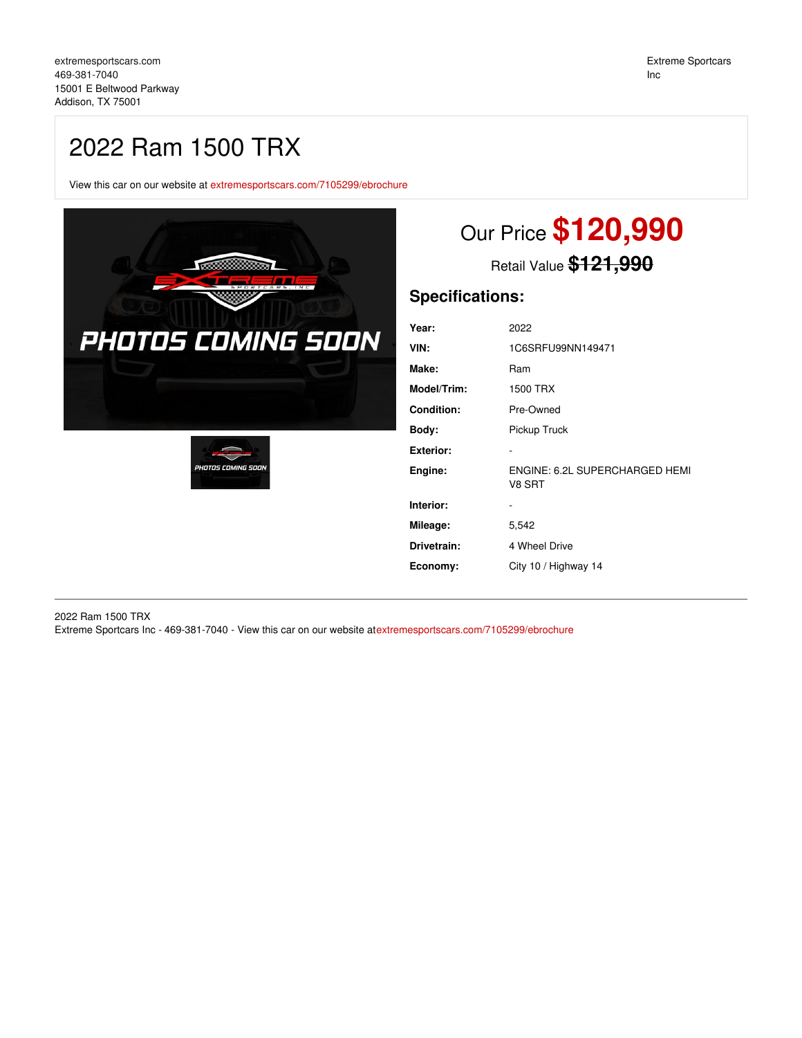## 2022 Ram 1500 TRX

View this car on our website at [extremesportscars.com/7105299/ebrochure](https://extremesportscars.com/vehicle/7105299/2022-ram-1500-trx-addison-tx-75001/7105299/ebrochure)





# Our Price **\$120,990**

Retail Value **\$121,990**

## **Specifications:**

| Year:              | 2022                                     |
|--------------------|------------------------------------------|
| VIN:               | 1C6SRFU99NN149471                        |
| Make:              | Ram                                      |
| <b>Model/Trim:</b> | 1500 TRX                                 |
| <b>Condition:</b>  | Pre-Owned                                |
| Body:              | Pickup Truck                             |
| Exterior:          |                                          |
| Engine:            | ENGINE: 6.2L SUPERCHARGED HEMI<br>V8 SRT |
| Interior:          |                                          |
| Mileage:           | 5,542                                    |
| Drivetrain:        | 4 Wheel Drive                            |
| Economy:           | City 10 / Highway 14                     |
|                    |                                          |

2022 Ram 1500 TRX Extreme Sportcars Inc - 469-381-7040 - View this car on our website at[extremesportscars.com/7105299/ebrochure](https://extremesportscars.com/vehicle/7105299/2022-ram-1500-trx-addison-tx-75001/7105299/ebrochure)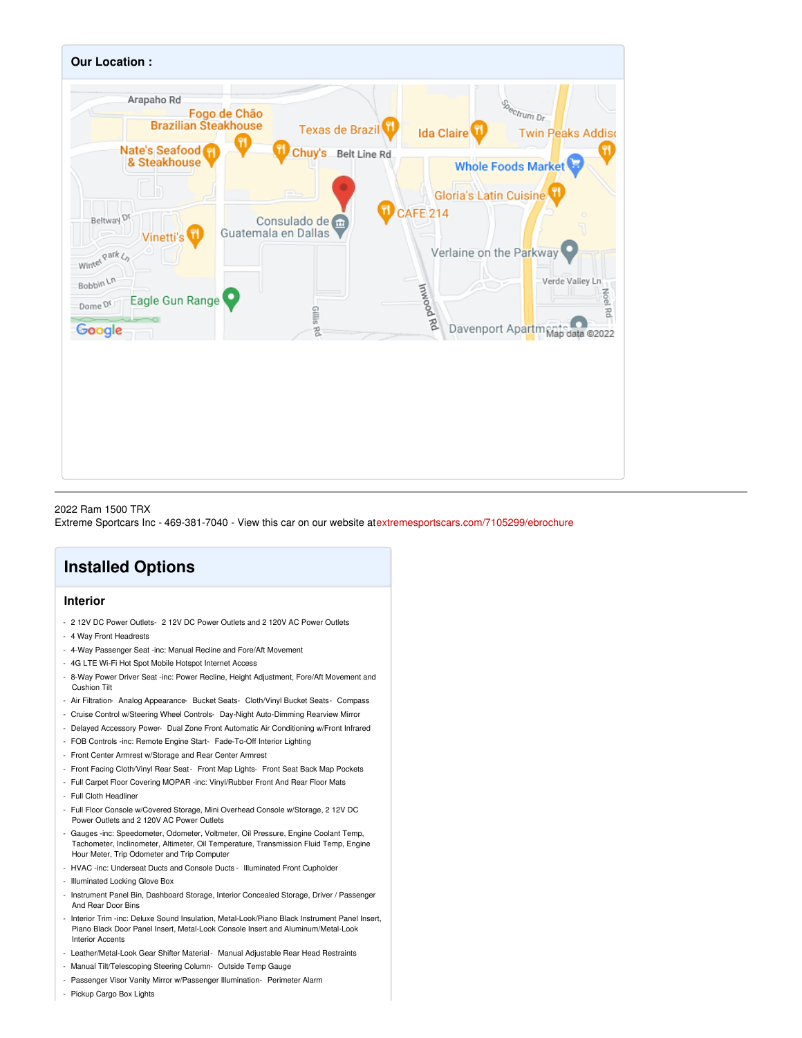

#### 2022 Ram 1500 TRX

Extreme Sportcars Inc - 469-381-7040 - View this car on our website at[extremesportscars.com/7105299/ebrochure](https://extremesportscars.com/vehicle/7105299/2022-ram-1500-trx-addison-tx-75001/7105299/ebrochure)

## **Installed Options**

#### **Interior**

- 2 12V DC Power Outlets- 2 12V DC Power Outlets and 2 120V AC Power Outlets
- 4 Way Front Headrests
- 4-Way Passenger Seat -inc: Manual Recline and Fore/Aft Movement
- 4G LTE Wi-Fi Hot Spot Mobile Hotspot Internet Access
- 8-Way Power Driver Seat -inc: Power Recline, Height Adjustment, Fore/Aft Movement and Cushion Tilt
- Air Filtration- Analog Appearance- Bucket Seats- Cloth/Vinyl Bucket Seats- Compass
- Cruise Control w/Steering Wheel Controls- Day-Night Auto-Dimming Rearview Mirror
- Delayed Accessory Power- Dual Zone Front Automatic Air Conditioning w/Front Infrared
- FOB Controls -inc: Remote Engine Start- Fade-To-Off Interior Lighting
- Front Center Armrest w/Storage and Rear Center Armrest
- Front Facing Cloth/Vinyl Rear Seat- Front Map Lights- Front Seat Back Map Pockets
- Full Carpet Floor Covering MOPAR -inc: Vinyl/Rubber Front And Rear Floor Mats
- Full Cloth Headliner
- Full Floor Console w/Covered Storage, Mini Overhead Console w/Storage, 2 12V DC Power Outlets and 2 120V AC Power Outlets
- Gauges -inc: Speedometer, Odometer, Voltmeter, Oil Pressure, Engine Coolant Temp, Tachometer, Inclinometer, Altimeter, Oil Temperature, Transmission Fluid Temp, Engine Hour Meter, Trip Odometer and Trip Computer
- HVAC -inc: Underseat Ducts and Console Ducts Illuminated Front Cupholder
- Illuminated Locking Glove Box
- Instrument Panel Bin, Dashboard Storage, Interior Concealed Storage, Driver / Passenger And Rear Door Bins
- Interior Trim -inc: Deluxe Sound Insulation, Metal-Look/Piano Black Instrument Panel Insert, Piano Black Door Panel Insert, Metal-Look Console Insert and Aluminum/Metal-Look Interior Accents
- Leather/Metal-Look Gear Shifter Material- Manual Adjustable Rear Head Restraints
- Manual Tilt/Telescoping Steering Column- Outside Temp Gauge
- Passenger Visor Vanity Mirror w/Passenger Illumination- Perimeter Alarm
- Pickup Cargo Box Lights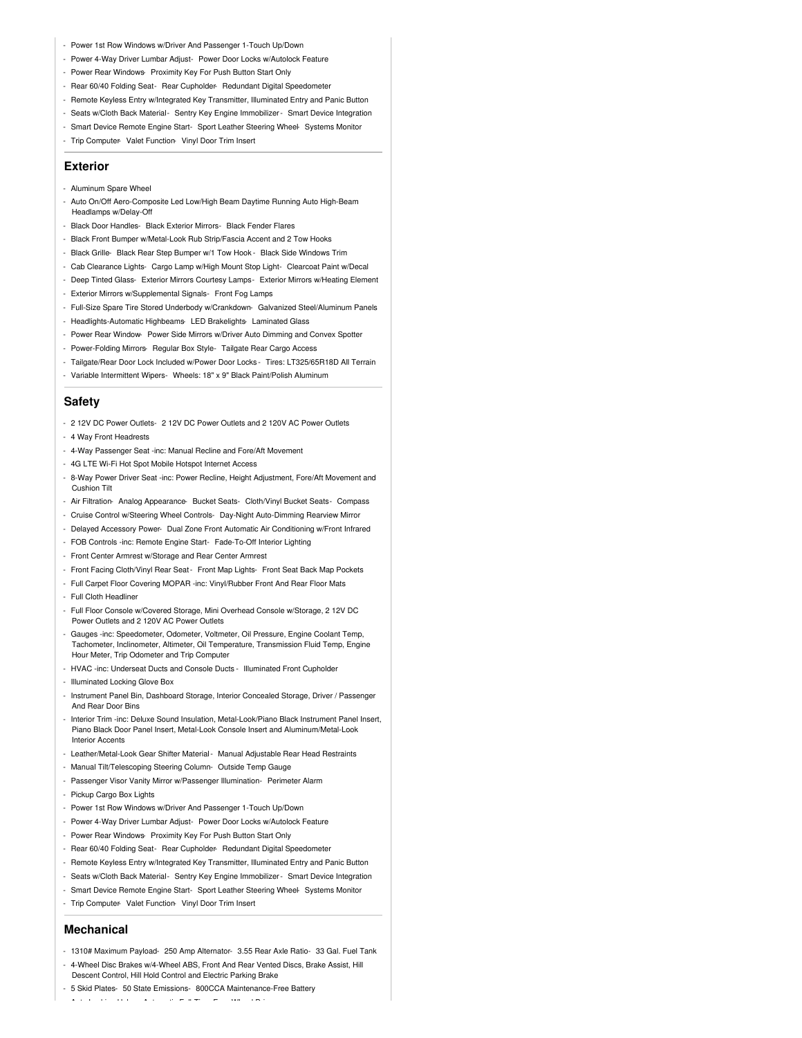- Power 1st Row Windows w/Driver And Passenger 1-Touch Up/Down
- Power 4-Way Driver Lumbar Adjust- Power Door Locks w/Autolock Feature
- Power Rear Windows- Proximity Key For Push Button Start Only
- Rear 60/40 Folding Seat- Rear Cupholder- Redundant Digital Speedometer
- Remote Keyless Entry w/Integrated Key Transmitter, Illuminated Entry and Panic Button
- Seats w/Cloth Back Material- Sentry Key Engine Immobilizer Smart Device Integration
- Smart Device Remote Engine Start- Sport Leather Steering Wheel- Systems Monitor
- Trip Computer- Valet Function- Vinyl Door Trim Insert

#### **Exterior**

- Aluminum Spare Wheel
- Auto On/Off Aero-Composite Led Low/High Beam Daytime Running Auto High-Beam Headlamps w/Delay-Off
- Black Door Handles- Black Exterior Mirrors- Black Fender Flares
- Black Front Bumper w/Metal-Look Rub Strip/Fascia Accent and 2 Tow Hooks
- Black Grille- Black Rear Step Bumper w/1 Tow Hook Black Side Windows Trim
- Cab Clearance Lights- Cargo Lamp w/High Mount Stop Light- Clearcoat Paint w/Decal
- Deep Tinted Glass- Exterior Mirrors Courtesy Lamps- Exterior Mirrors w/Heating Element
- Exterior Mirrors w/Supplemental Signals- Front Fog Lamps
- Full-Size Spare Tire Stored Underbody w/Crankdown- Galvanized Steel/Aluminum Panels
- Headlights-Automatic Highbeams- LED Brakelights- Laminated Glass
- Power Rear Window- Power Side Mirrors w/Driver Auto Dimming and Convex Spotter
- Power-Folding Mirrors- Regular Box Style- Tailgate Rear Cargo Access
- Tailgate/Rear Door Lock Included w/Power Door Locks Tires: LT325/65R18D All Terrain
- Variable Intermittent Wipers- Wheels: 18" x 9" Black Paint/Polish Aluminum

#### **Safety**

- 2 12V DC Power Outlets- 2 12V DC Power Outlets and 2 120V AC Power Outlets
- 4 Way Front Headrests
- 4-Way Passenger Seat -inc: Manual Recline and Fore/Aft Movement
- 4G LTE Wi-Fi Hot Spot Mobile Hotspot Internet Access
- 8-Way Power Driver Seat -inc: Power Recline, Height Adjustment, Fore/Aft Movement and Cushion Tilt
- Air Filtration- Analog Appearance- Bucket Seats- Cloth/Vinyl Bucket Seats- Compass
- Cruise Control w/Steering Wheel Controls- Day-Night Auto-Dimming Rearview Mirror
- Delayed Accessory Power- Dual Zone Front Automatic Air Conditioning w/Front Infrared
- FOB Controls -inc: Remote Engine Start- Fade-To-Off Interior Lighting
- Front Center Armrest w/Storage and Rear Center Armrest
- Front Facing Cloth/Vinyl Rear Seat- Front Map Lights- Front Seat Back Map Pockets
- Full Carpet Floor Covering MOPAR -inc: Vinyl/Rubber Front And Rear Floor Mats
- Full Cloth Headliner
- Full Floor Console w/Covered Storage, Mini Overhead Console w/Storage, 2 12V DC Power Outlets and 2 120V AC Power Outlets
- Gauges -inc: Speedometer, Odometer, Voltmeter, Oil Pressure, Engine Coolant Temp, Tachometer, Inclinometer, Altimeter, Oil Temperature, Transmission Fluid Temp, Engine Hour Meter, Trip Odometer and Trip Computer
- HVAC -inc: Underseat Ducts and Console Ducts Illuminated Front Cupholder
- Illuminated Locking Glove Box
- Instrument Panel Bin, Dashboard Storage, Interior Concealed Storage, Driver / Passenger And Rear Door Bins
- Interior Trim -inc: Deluxe Sound Insulation, Metal-Look/Piano Black Instrument Panel Insert, Piano Black Door Panel Insert, Metal-Look Console Insert and Aluminum/Metal-Look Interior Accents
- Leather/Metal-Look Gear Shifter Material- Manual Adjustable Rear Head Restraints
- Manual Tilt/Telescoping Steering Column- Outside Temp Gauge
- Passenger Visor Vanity Mirror w/Passenger Illumination- Perimeter Alarm
- Pickup Cargo Box Lights
- Power 1st Row Windows w/Driver And Passenger 1-Touch Up/Down
- Power 4-Way Driver Lumbar Adjust- Power Door Locks w/Autolock Feature
- Power Rear Windows- Proximity Key For Push Button Start Only
- Rear 60/40 Folding Seat- Rear Cupholder- Redundant Digital Speedometer
- Remote Keyless Entry w/Integrated Key Transmitter, Illuminated Entry and Panic Button
- Seats w/Cloth Back Material- Sentry Key Engine Immobilizer- Smart Device Integration
- Smart Device Remote Engine Start- Sport Leather Steering Wheel- Systems Monitor
- Trip Computer- Valet Function- Vinyl Door Trim Insert

#### **Mechanical**

- 1310# Maximum Payload- 250 Amp Alternator- 3.55 Rear Axle Ratio- 33 Gal. Fuel Tank
- 4-Wheel Disc Brakes w/4-Wheel ABS, Front And Rear Vented Discs, Brake Assist, Hill Descent Control, Hill Hold Control and Electric Parking Brake
- 5 Skid Plates- 50 State Emissions- 800CCA Maintenance-Free Battery
- Auto Locking Hubs- Automatic Full-Time Four-Wheel Drive